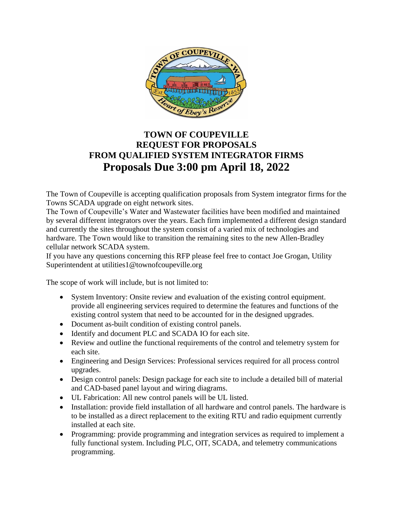

# **TOWN OF COUPEVILLE REQUEST FOR PROPOSALS FROM QUALIFIED SYSTEM INTEGRATOR FIRMS Proposals Due 3:00 pm April 18, 2022**

The Town of Coupeville is accepting qualification proposals from System integrator firms for the Towns SCADA upgrade on eight network sites.

The Town of Coupeville's Water and Wastewater facilities have been modified and maintained by several different integrators over the years. Each firm implemented a different design standard and currently the sites throughout the system consist of a varied mix of technologies and hardware. The Town would like to transition the remaining sites to the new Allen-Bradley cellular network SCADA system.

If you have any questions concerning this RFP please feel free to contact Joe Grogan, Utility Superintendent at utilities1@townofcoupeville.org

The scope of work will include, but is not limited to:

- System Inventory: Onsite review and evaluation of the existing control equipment. provide all engineering services required to determine the features and functions of the existing control system that need to be accounted for in the designed upgrades.
- Document as-built condition of existing control panels.
- Identify and document PLC and SCADA IO for each site.
- Review and outline the functional requirements of the control and telemetry system for each site.
- Engineering and Design Services: Professional services required for all process control upgrades.
- Design control panels: Design package for each site to include a detailed bill of material and CAD-based panel layout and wiring diagrams.
- UL Fabrication: All new control panels will be UL listed.
- Installation: provide field installation of all hardware and control panels. The hardware is to be installed as a direct replacement to the exiting RTU and radio equipment currently installed at each site.
- Programming: provide programming and integration services as required to implement a fully functional system. Including PLC, OIT, SCADA, and telemetry communications programming.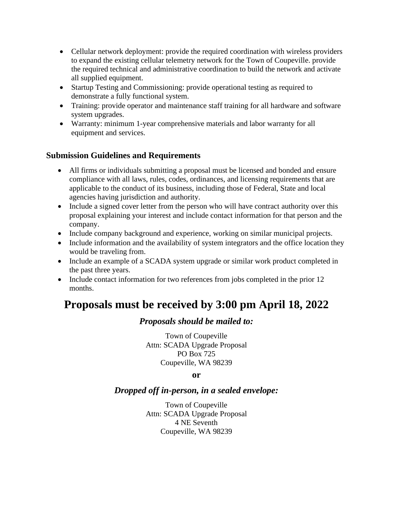- Cellular network deployment: provide the required coordination with wireless providers to expand the existing cellular telemetry network for the Town of Coupeville. provide the required technical and administrative coordination to build the network and activate all supplied equipment.
- Startup Testing and Commissioning: provide operational testing as required to demonstrate a fully functional system.
- Training: provide operator and maintenance staff training for all hardware and software system upgrades.
- Warranty: minimum 1-year comprehensive materials and labor warranty for all equipment and services.

### **Submission Guidelines and Requirements**

- All firms or individuals submitting a proposal must be licensed and bonded and ensure compliance with all laws, rules, codes, ordinances, and licensing requirements that are applicable to the conduct of its business, including those of Federal, State and local agencies having jurisdiction and authority.
- Include a signed cover letter from the person who will have contract authority over this proposal explaining your interest and include contact information for that person and the company.
- Include company background and experience, working on similar municipal projects.
- Include information and the availability of system integrators and the office location they would be traveling from.
- Include an example of a SCADA system upgrade or similar work product completed in the past three years.
- Include contact information for two references from jobs completed in the prior 12 months.

# **Proposals must be received by 3:00 pm April 18, 2022**

#### *Proposals should be mailed to:*

Town of Coupeville Attn: SCADA Upgrade Proposal PO Box 725 Coupeville, WA 98239

#### **or**

## *Dropped off in-person, in a sealed envelope:*

Town of Coupeville Attn: SCADA Upgrade Proposal 4 NE Seventh Coupeville, WA 98239